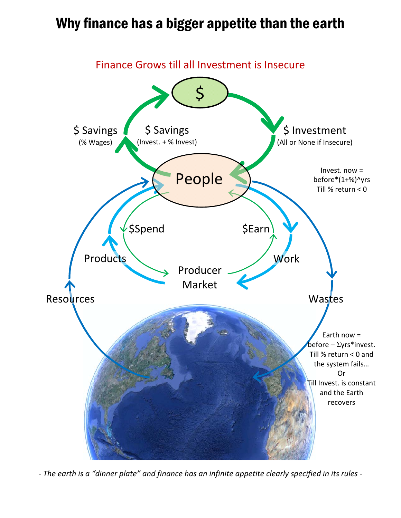## Why finance has a bigger appetite than the earth



- The earth is a "dinner plate" and finance has an infinite appetite clearly specified in its rules -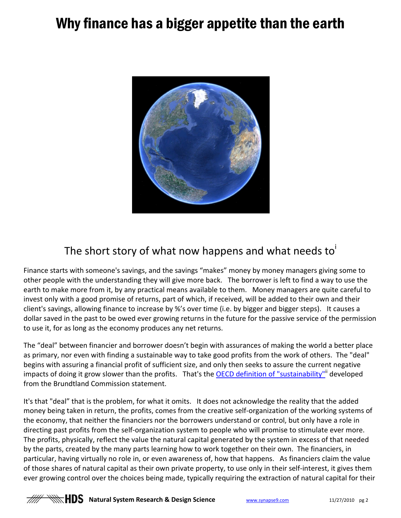## Why finance has a bigger appetite than the earth



## The short story of what now happens and what needs to

Finance starts with someone's savings, and the savings "makes" money by money managers giving some to other people with the understanding they will give more back. The borrower is left to find a way to use the earth to make more from it, by any practical means available to them. Money managers are quite careful to invest only with a good promise of returns, part of which, if received, will be added to their own and their client's savings, allowing finance to increase by %'s over time (i.e. by bigger and bigger steps). It causes a dollar saved in the past to be owed ever growing returns in the future for the passive service of the permission to use it, for as long as the economy produces any net returns.

The "deal" between financier and borrower doesn't begin with assurances of making the world a better place as primary, nor even with finding a sustainable way to take good profits from the work of others. The "deal" begins with assuring a financial profit of sufficient size, and only then seeks to assure the current negative impacts of doing it grow slower than the profits. That's the **OECD definition of "sustainability"** developed from the Brundtland Commission statement.

It's that "deal" that is the problem, for what it omits. It does not acknowledge the reality that the added money being taken in return, the profits, comes from the creative self‐organization of the working systems of the economy, that neither the financiers nor the borrowers understand or control, but only have a role in directing past profits from the self‐organization system to people who will promise to stimulate ever more. The profits, physically, reflect the value the natural capital generated by the system in excess of that needed by the parts, created by the many parts learning how to work together on their own. The financiers, in particular, having virtually no role in, or even awareness of, how that happens. As financiers claim the value of those shares of natural capital as their own private property, to use only in their self-interest, it gives them ever growing control over the choices being made, typically requiring the extraction of natural capital for their